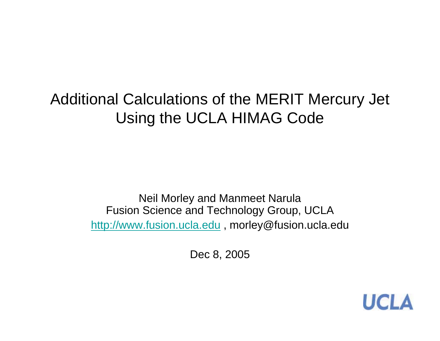## Additional Calculations of the MERIT Mercury Jet Using the UCLA HIMAG Code

Neil Morley and Manmeet Narula Fusion Science and Technology Group, UCLA http://www.fusion.ucla.edu , morley@fusion.ucla.edu

Dec 8, 2005

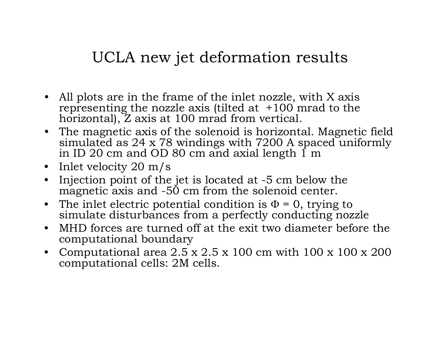## UCLA new jet deformation results

- All plots are in the frame of the inlet nozzle, with X axis representing the nozzle axis (tilted at  $+100$  mrad to the horizontal), Z axis at 100 mrad from vertical.
- The magnetic axis of the solenoid is horizontal. Magnetic field simulated as 24 x 78 windings with 7200 A spaced uniformly in ID 20 cm and OD 80 cm and axial length  $\overline{1}$  m
- Inlet velocity 20 m/s
- $\bullet$  Injection point of the jet is located at -5 cm below the magnetic axis and -50 cm from the solenoid center.
- The inlet electric potential condition is  $\Phi$  = 0, trying to simulate disturbances from a perfectly conducting nozzle
- • MHD forces are turned off at the exit two diameter before the computational boundary
- Computational area 2.5 x 2.5 x 100 cm with 100 x 100 x 200  $\,$ computational cells: 2M cells.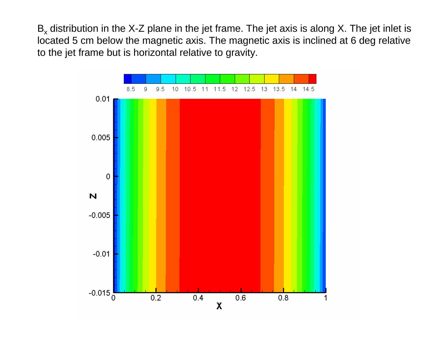B<sub>x</sub> distribution in the X-Z plane in the jet frame. The jet axis is along X. The jet inlet is located 5 cm below the magnetic axis. The magnetic axis is inclined at 6 deg relative to the jet frame but is horizontal relative to gravity.

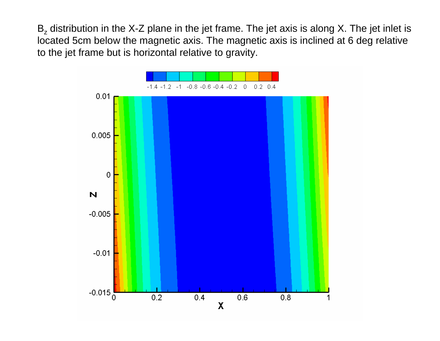B<sub>z</sub> distribution in the X-Z plane in the jet frame. The jet axis is along X. The jet inlet is located 5cm below the magnetic axis. The magnetic axis is inclined at 6 deg relative to the jet frame but is horizontal relative to gravity.

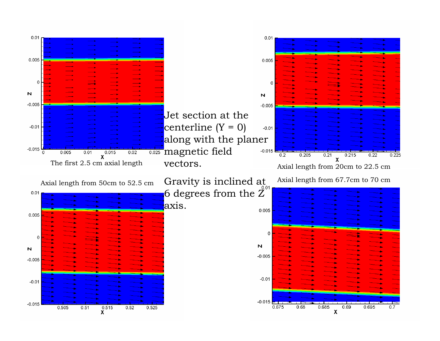